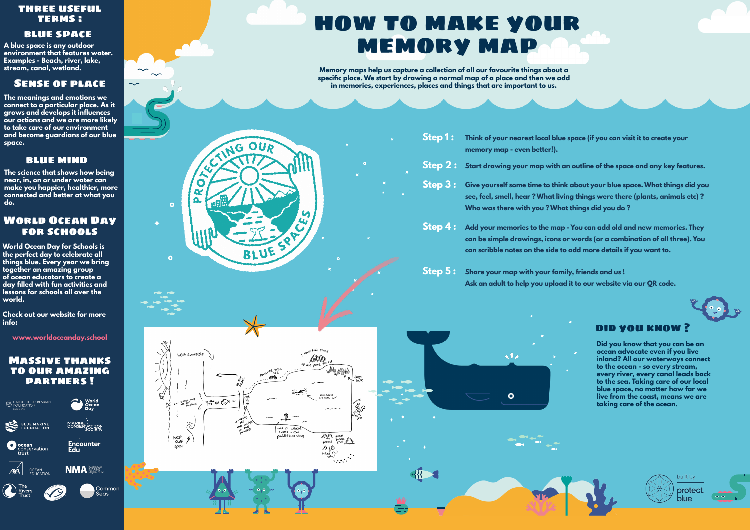vv

 $\sim$ 

# World Ocean Day for schools

how to make your memory map

> **Step 1 : Step 2 :**

> > $-3\sqrt{3}$

## blue space

#### Massive thanks to our amazing partners !



**World Ocean Day for Schools is the perfect day to celebrate all things blue. Every year we bring together an amazing group of ocean educators to create a day filled with fun activities and lessons for schools all over the world.** 

Memory maps help us capture a collection of all our favourite things about a **specific place. We start by drawing a normal map of a place and then we add in memories, experiences, places and things that are important to us.** 

**Check out our website for more info:** 

**www.worldoceanday.school**

**A blue space is any outdoor environment that features water. Examples - Beach, river, lake,** 

- **Step 3 :**
- **Who was there with you ? What things did you do ?**

**Step 4 : Add your memories to the map - You can add old and new memories. They can be simple drawings, icons or words (or a combination of all three). You can scribble notes on the side to add more details if you want to.** 

- 
- **Step 5 : Share your map with your family, friends and us !**

 $\bullet$ 

 $\bullet$ 



**OUD** 

BLUE

U

R R C-WING

 $\bullet$ 

 $\bullet$ 



**Think of your nearest local blue space (if you can visit it to create your** 

**memory map - even better!).**

**Start drawing your map with an outline of the space and any key features.** 

**Give yourself some time to think about your blue space. What things did you see, feel, smell, hear ? What living things were there (plants, animals etc) ?** 

**Ask an adult to help you upload it to our website via our QR code.**



#### did you know ?

**Did you know that you can be an ocean advocate even if you live inland? All our waterways connect to the ocean - so every stream, every river, every canal leads back to the sea. Taking care of our local blue space, no matter how far we live from the coast, means we are taking care of the ocean.** 



**The meanings and emotions we connect to a particular place. As it grows and develops it influences our actions and we are more likely to take care of our environment and become guardians of our blue space.**

# Sense of place

### blue mind

**The science that shows how being near, in, on or under water can make you happier, healthier, more connected and better at what you do.**

# three useful terms :